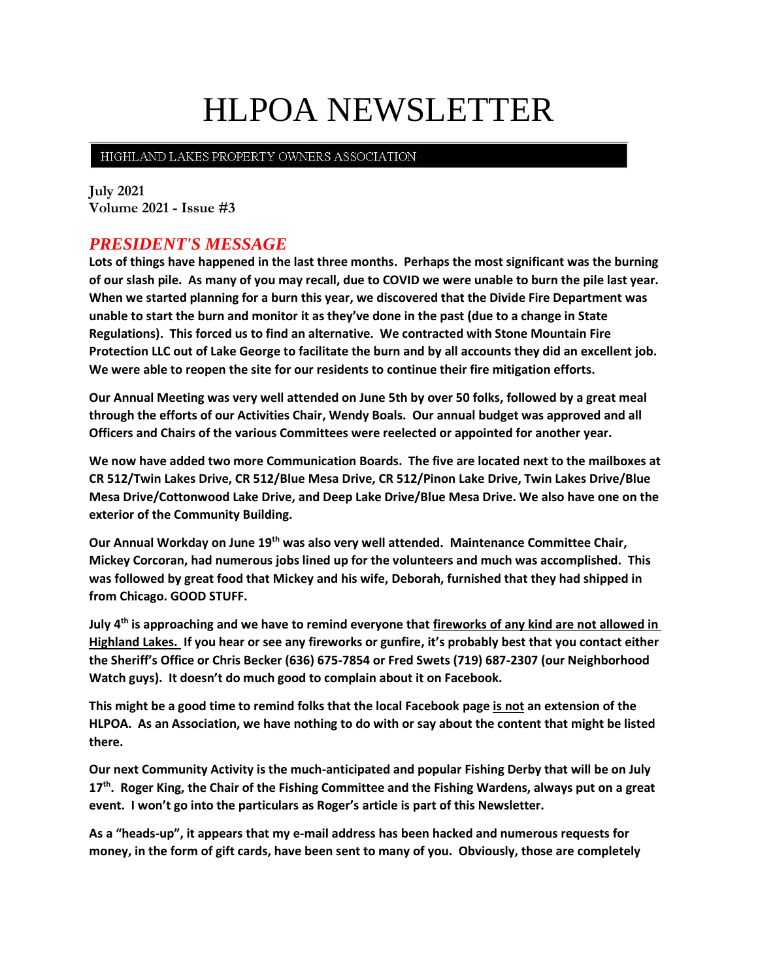# HLPOA NEWSLETTER

# HIGHLAND LAKES PROPERTY OWNERS ASSOCIATION

**July 2021 Volume 2021 - Issue #3**

# *PRESIDENT'S MESSAGE*

**Lots of things have happened in the last three months. Perhaps the most significant was the burning of our slash pile. As many of you may recall, due to COVID we were unable to burn the pile last year. When we started planning for a burn this year, we discovered that the Divide Fire Department was unable to start the burn and monitor it as they've done in the past (due to a change in State Regulations). This forced us to find an alternative. We contracted with Stone Mountain Fire Protection LLC out of Lake George to facilitate the burn and by all accounts they did an excellent job. We were able to reopen the site for our residents to continue their fire mitigation efforts.**

**Our Annual Meeting was very well attended on June 5th by over 50 folks, followed by a great meal through the efforts of our Activities Chair, Wendy Boals. Our annual budget was approved and all Officers and Chairs of the various Committees were reelected or appointed for another year.**

**We now have added two more Communication Boards. The five are located next to the mailboxes at CR 512/Twin Lakes Drive, CR 512/Blue Mesa Drive, CR 512/Pinon Lake Drive, Twin Lakes Drive/Blue Mesa Drive/Cottonwood Lake Drive, and Deep Lake Drive/Blue Mesa Drive. We also have one on the exterior of the Community Building.**

**Our Annual Workday on June 19th was also very well attended. Maintenance Committee Chair, Mickey Corcoran, had numerous jobs lined up for the volunteers and much was accomplished. This was followed by great food that Mickey and his wife, Deborah, furnished that they had shipped in from Chicago. GOOD STUFF.**

**July 4th is approaching and we have to remind everyone that fireworks of any kind are not allowed in Highland Lakes. If you hear or see any fireworks or gunfire, it's probably best that you contact either the Sheriff's Office or Chris Becker (636) 675-7854 or Fred Swets (719) 687-2307 (our Neighborhood Watch guys). It doesn't do much good to complain about it on Facebook.** 

**This might be a good time to remind folks that the local Facebook page is not an extension of the HLPOA. As an Association, we have nothing to do with or say about the content that might be listed there.** 

**Our next Community Activity is the much-anticipated and popular Fishing Derby that will be on July 17th. Roger King, the Chair of the Fishing Committee and the Fishing Wardens, always put on a great event. I won't go into the particulars as Roger's article is part of this Newsletter.**

**As a "heads-up", it appears that my e-mail address has been hacked and numerous requests for money, in the form of gift cards, have been sent to many of you. Obviously, those are completely**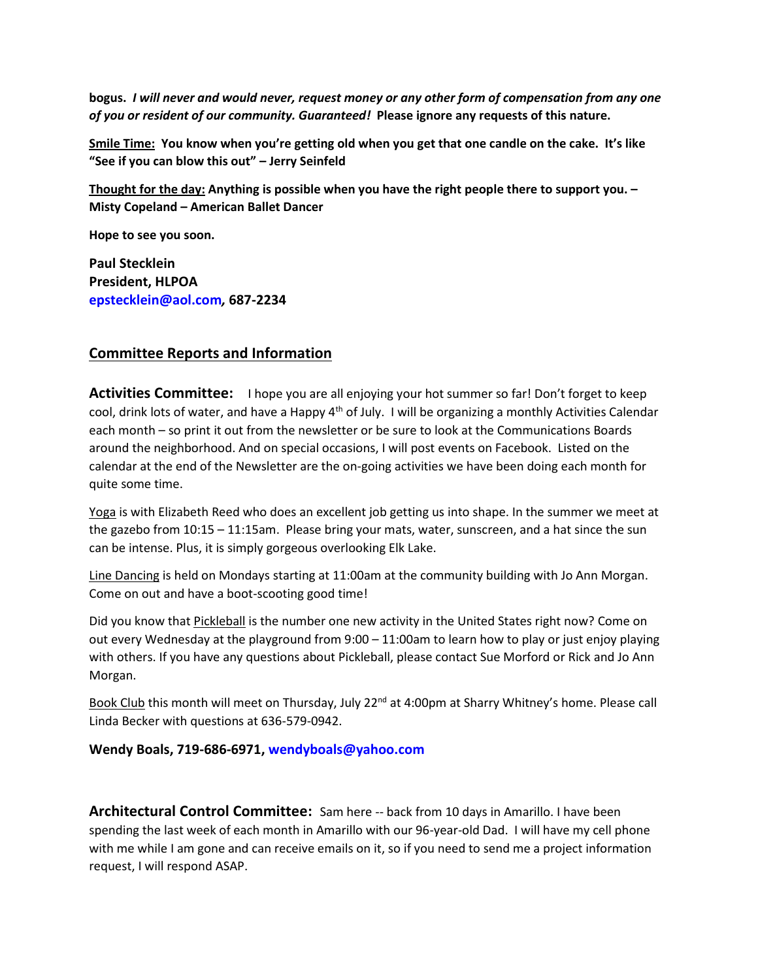**bogus.** *I will never and would never, request money or any other form of compensation from any one of you or resident of our community. Guaranteed!* **Please ignore any requests of this nature.**

**Smile Time: You know when you're getting old when you get that one candle on the cake. It's like "See if you can blow this out" – Jerry Seinfeld**

**Thought for the day: Anything is possible when you have the right people there to support you. – Misty Copeland – American Ballet Dancer**

**Hope to see you soon.**

**Paul Stecklein President, HLPOA epstecklein@aol.com***,* **687-2234**

# **Committee Reports and Information**

**Activities Committee:** I hope you are all enjoying your hot summer so far! Don't forget to keep cool, drink lots of water, and have a Happy  $4<sup>th</sup>$  of July. I will be organizing a monthly Activities Calendar each month – so print it out from the newsletter or be sure to look at the Communications Boards around the neighborhood. And on special occasions, I will post events on Facebook. Listed on the calendar at the end of the Newsletter are the on-going activities we have been doing each month for quite some time.

Yoga is with Elizabeth Reed who does an excellent job getting us into shape. In the summer we meet at the gazebo from 10:15 – 11:15am. Please bring your mats, water, sunscreen, and a hat since the sun can be intense. Plus, it is simply gorgeous overlooking Elk Lake.

Line Dancing is held on Mondays starting at 11:00am at the community building with Jo Ann Morgan. Come on out and have a boot-scooting good time!

Did you know that Pickleball is the number one new activity in the United States right now? Come on out every Wednesday at the playground from 9:00 – 11:00am to learn how to play or just enjoy playing with others. If you have any questions about Pickleball, please contact Sue Morford or Rick and Jo Ann Morgan.

Book Club this month will meet on Thursday, July 22<sup>nd</sup> at 4:00pm at Sharry Whitney's home. Please call Linda Becker with questions at 636-579-0942.

# **Wendy Boals, 719-686-6971, [wendyboals@yahoo.com](mailto:wendyboals@yahoo.com)**

**Architectural Control Committee:** Sam here -- back from 10 days in Amarillo. I have been spending the last week of each month in Amarillo with our 96-year-old Dad. I will have my cell phone with me while I am gone and can receive emails on it, so if you need to send me a project information request, I will respond ASAP.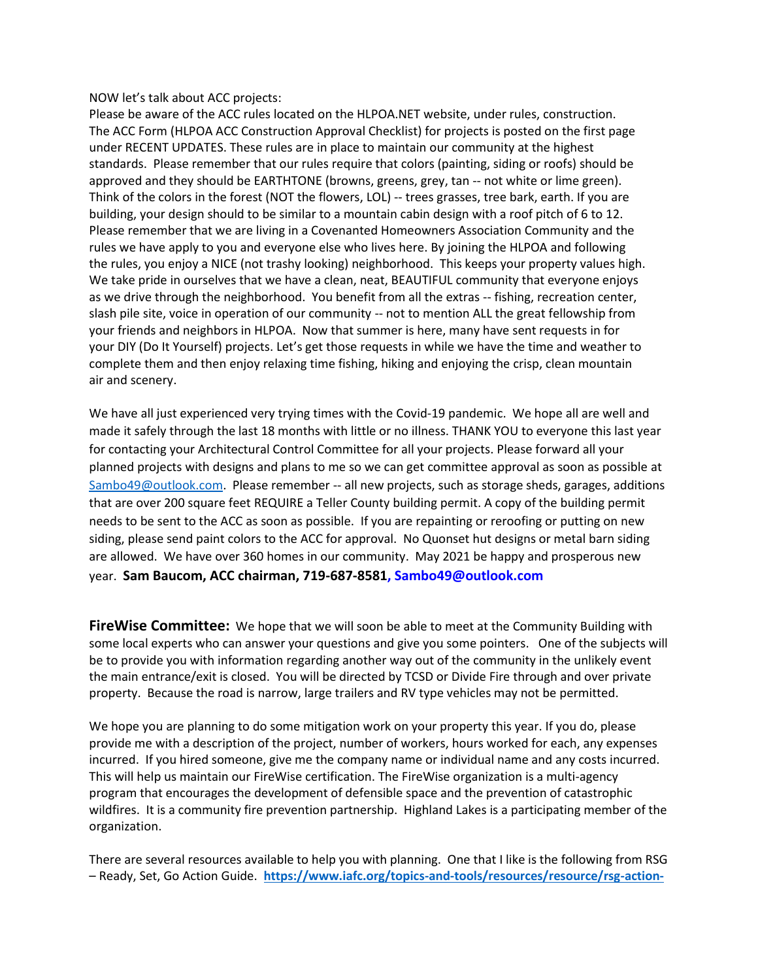#### NOW let's talk about ACC projects:

Please be aware of the ACC rules located on the HLPOA.NET website, under rules, construction. The ACC Form (HLPOA ACC Construction Approval Checklist) for projects is posted on the first page under RECENT UPDATES. These rules are in place to maintain our community at the highest standards. Please remember that our rules require that colors (painting, siding or roofs) should be approved and they should be EARTHTONE (browns, greens, grey, tan -- not white or lime green). Think of the colors in the forest (NOT the flowers, LOL) -- trees grasses, tree bark, earth. If you are building, your design should to be similar to a mountain cabin design with a roof pitch of 6 to 12. Please remember that we are living in a Covenanted Homeowners Association Community and the rules we have apply to you and everyone else who lives here. By joining the HLPOA and following the rules, you enjoy a NICE (not trashy looking) neighborhood. This keeps your property values high. We take pride in ourselves that we have a clean, neat, BEAUTIFUL community that everyone enjoys as we drive through the neighborhood. You benefit from all the extras -- fishing, recreation center, slash pile site, voice in operation of our community -- not to mention ALL the great fellowship from your friends and neighbors in HLPOA. Now that summer is here, many have sent requests in for your DIY (Do It Yourself) projects. Let's get those requests in while we have the time and weather to complete them and then enjoy relaxing time fishing, hiking and enjoying the crisp, clean mountain air and scenery.

We have all just experienced very trying times with the Covid-19 pandemic. We hope all are well and made it safely through the last 18 months with little or no illness. THANK YOU to everyone this last year for contacting your Architectural Control Committee for all your projects. Please forward all your planned projects with designs and plans to me so we can get committee approval as soon as possible at [Sambo49@outlook.com.](mailto:Sambo49@outlook.com) Please remember -- all new projects, such as storage sheds, garages, additions that are over 200 square feet REQUIRE a Teller County building permit. A copy of the building permit needs to be sent to the ACC as soon as possible. If you are repainting or reroofing or putting on new siding, please send paint colors to the ACC for approval. No Quonset hut designs or metal barn siding are allowed. We have over 360 homes in our community. May 2021 be happy and prosperous new year. **Sam Baucom, ACC chairman, 719-687-8581[, Sambo49@outlook.com](mailto:Sambo49@outlook.com)**

**FireWise Committee:** We hope that we will soon be able to meet at the Community Building with some local experts who can answer your questions and give you some pointers. One of the subjects will be to provide you with information regarding another way out of the community in the unlikely event the main entrance/exit is closed. You will be directed by TCSD or Divide Fire through and over private property. Because the road is narrow, large trailers and RV type vehicles may not be permitted.

We hope you are planning to do some mitigation work on your property this year. If you do, please provide me with a description of the project, number of workers, hours worked for each, any expenses incurred. If you hired someone, give me the company name or individual name and any costs incurred. This will help us maintain our FireWise certification. The FireWise organization is a multi-agency program that encourages the development of defensible space and the prevention of catastrophic wildfires. It is a community fire prevention partnership. Highland Lakes is a participating member of the organization.

There are several resources available to help you with planning. One that I like is the following from RSG – Ready, Set, Go Action Guide. **[https://www.iafc.org/topics-and-tools/resources/resource/rsg-action-](https://www.iafc.org/topics-and-tools/resources/resource/rsg-action-guide)**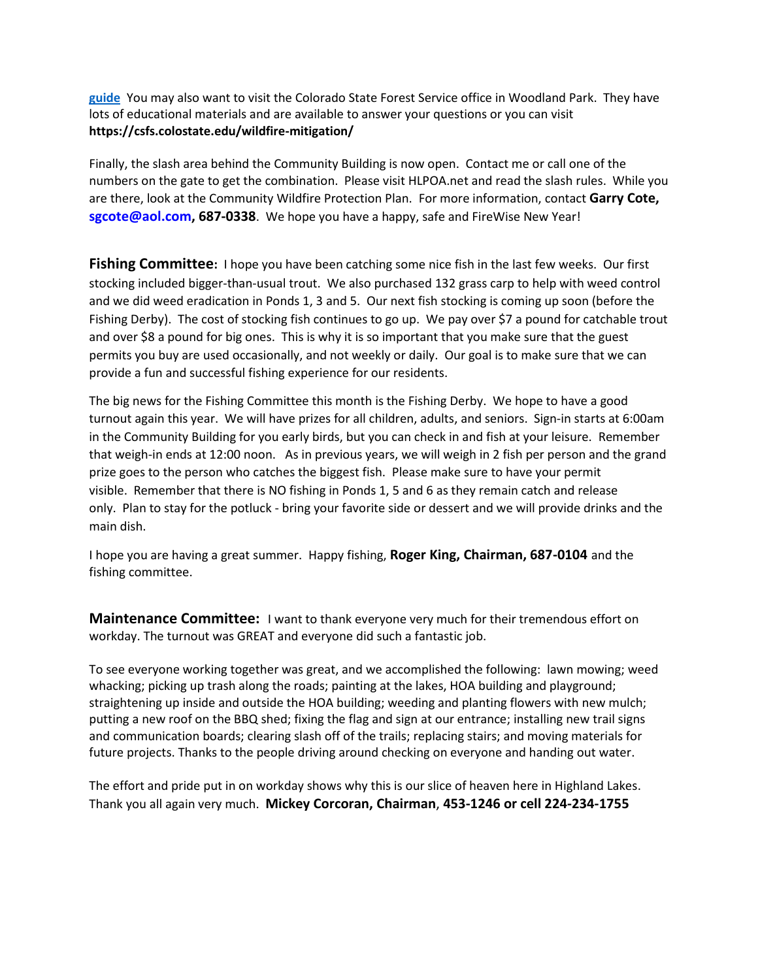**[guide](https://www.iafc.org/topics-and-tools/resources/resource/rsg-action-guide)** You may also want to visit the Colorado State Forest Service office in Woodland Park. They have lots of educational materials and are available to answer your questions or you can visit **https://csfs.colostate.edu/wildfire-mitigation/**

Finally, the slash area behind the Community Building is now open. Contact me or call one of the numbers on the gate to get the combination. Please visit HLPOA.net and read the slash rules. While you are there, look at the Community Wildfire Protection Plan. For more information, contact **Garry Cote, [sgcote@aol.com,](file:///C:/Users/Sue/Desktop/HLWD/HLPOA/POA%20Newsletter/sgcote@aol.com) 687-0338**. We hope you have a happy, safe and FireWise New Year!

**Fishing Committee:** I hope you have been catching some nice fish in the last few weeks. Our first stocking included bigger-than-usual trout. We also purchased 132 grass carp to help with weed control and we did weed eradication in Ponds 1, 3 and 5. Our next fish stocking is coming up soon (before the Fishing Derby). The cost of stocking fish continues to go up. We pay over \$7 a pound for catchable trout and over \$8 a pound for big ones. This is why it is so important that you make sure that the guest permits you buy are used occasionally, and not weekly or daily. Our goal is to make sure that we can provide a fun and successful fishing experience for our residents.

The big news for the Fishing Committee this month is the Fishing Derby. We hope to have a good turnout again this year. We will have prizes for all children, adults, and seniors. Sign-in starts at 6:00am in the Community Building for you early birds, but you can check in and fish at your leisure. Remember that weigh-in ends at 12:00 noon. As in previous years, we will weigh in 2 fish per person and the grand prize goes to the person who catches the biggest fish. Please make sure to have your permit visible. Remember that there is NO fishing in Ponds 1, 5 and 6 as they remain catch and release only. Plan to stay for the potluck - bring your favorite side or dessert and we will provide drinks and the main dish.

I hope you are having a great summer. Happy fishing, **Roger King, Chairman, 687-0104** and the fishing committee.

**Maintenance Committee:** I want to thank everyone very much for their tremendous effort on workday. The turnout was GREAT and everyone did such a fantastic job.

To see everyone working together was great, and we accomplished the following: lawn mowing; weed whacking; picking up trash along the roads; painting at the lakes, HOA building and playground; straightening up inside and outside the HOA building; weeding and planting flowers with new mulch; putting a new roof on the BBQ shed; fixing the flag and sign at our entrance; installing new trail signs and communication boards; clearing slash off of the trails; replacing stairs; and moving materials for future projects. Thanks to the people driving around checking on everyone and handing out water.

The effort and pride put in on workday shows why this is our slice of heaven here in Highland Lakes. Thank you all again very much. **Mickey Corcoran, Chairman**, **453-1246 or cell 224-234-1755**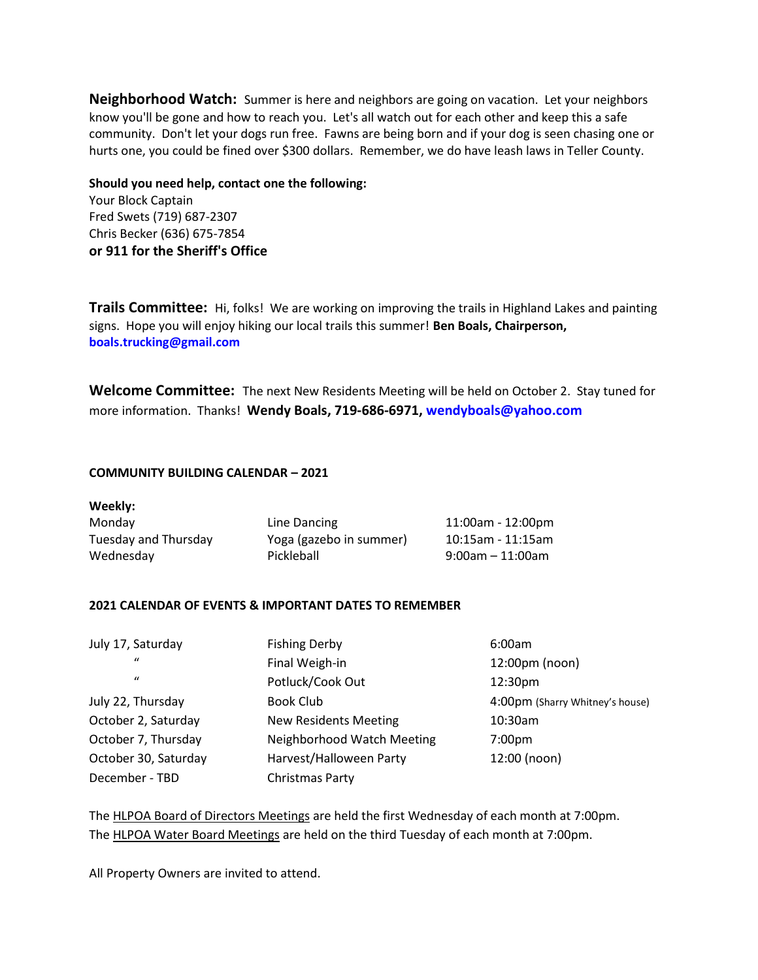**Neighborhood Watch:** Summer is here and neighbors are going on vacation. Let your neighbors know you'll be gone and how to reach you. Let's all watch out for each other and keep this a safe community. Don't let your dogs run free. Fawns are being born and if your dog is seen chasing one or hurts one, you could be fined over \$300 dollars. Remember, we do have leash laws in Teller County.

#### **Should you need help, contact one the following:**

Your Block Captain Fred Swets (719) 687-2307 Chris Becker (636) 675-7854 **or 911 for the Sheriff's Office**

**Trails Committee:** Hi, folks! We are working on improving the trails in Highland Lakes and painting signs. Hope you will enjoy hiking our local trails this summer! **Ben Boals, Chairperson, boals.trucking@gmail.com**

**Welcome Committee:** The next New Residents Meeting will be held on October 2. Stay tuned for more information. Thanks! **Wendy Boals, 719-686-6971, [wendyboals@yahoo.com](mailto:wendyboals@yahoo.com)**

#### **COMMUNITY BUILDING CALENDAR – 2021**

| Weekly:              |                         |                      |
|----------------------|-------------------------|----------------------|
| Monday               | Line Dancing            | 11:00am - 12:00pm    |
| Tuesday and Thursday | Yoga (gazebo in summer) | $10:15$ am - 11:15am |
| Wednesday            | Pickleball              | $9:00$ am - 11:00am  |

# **2021 CALENDAR OF EVENTS & IMPORTANT DATES TO REMEMBER**

| July 17, Saturday    | <b>Fishing Derby</b>         | 6:00am                          |
|----------------------|------------------------------|---------------------------------|
| $\bf{u}$             | Final Weigh-in               | $12:00 \text{pm}$ (noon)        |
| $\bf{u}$             | Potluck/Cook Out             | 12:30pm                         |
| July 22, Thursday    | Book Club                    | 4:00pm (Sharry Whitney's house) |
| October 2, Saturday  | <b>New Residents Meeting</b> | 10:30am                         |
| October 7, Thursday  | Neighborhood Watch Meeting   | 7:00 <sub>pm</sub>              |
| October 30, Saturday | Harvest/Halloween Party      | 12:00 (noon)                    |
| December - TBD       | Christmas Party              |                                 |

The HLPOA Board of Directors Meetings are held the first Wednesday of each month at 7:00pm. The HLPOA Water Board Meetings are held on the third Tuesday of each month at 7:00pm.

All Property Owners are invited to attend.